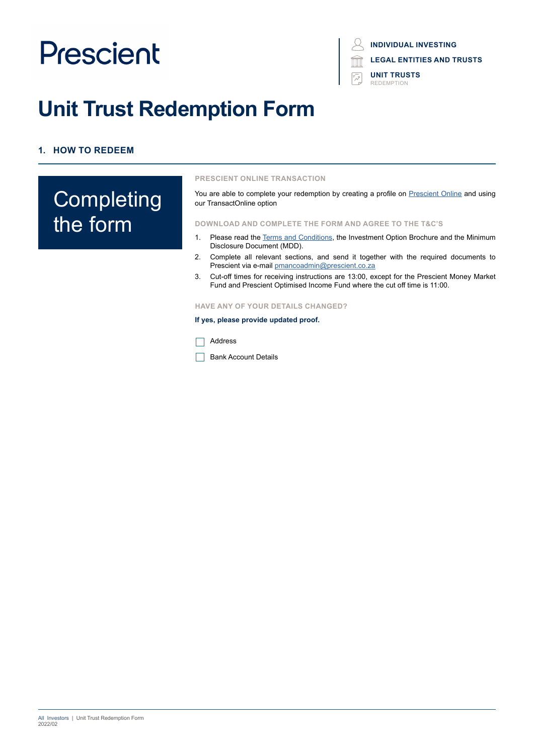# **INDIVIDUAL INVESTING LEGAL ENTITIES AND TRUSTS**

**UNIT TRUSTS REDEMPTION** 

# **Unit Trust Redemption Form**

# **1. HOW TO REDEEM**

# **Completing** the form

#### **PRESCIENT ONLINE TRANSACTION**

You are able to complete your redemption by creating a profile on [Prescient Online](https://www.prescientonline.co.za/) and using our TransactOnline option

#### **DOWNLOAD AND COMPLETE THE FORM AND AGREE TO THE T&C'S**

- 1. Please read the [Terms and Conditions,](https://www.prescient.co.za/media/nryjvycp/2021-terms-conditions.pdf) the Investment Option Brochure and the Minimum Disclosure Document (MDD).
- 2. Complete all relevant sections, and send it together with the required documents to Prescient via e-mail [pmancoadmin@prescient.co.za](mailto:%20pmancoadmin%40prescient.co.za?subject=Prescient%20-%20Redemption%20Form)
- 3. Cut-off times for receiving instructions are 13:00, except for the Prescient Money Market Fund and Prescient Optimised Income Fund where the cut off time is 11:00.

#### **HAVE ANY OF YOUR DETAILS CHANGED?**

#### **If yes, please provide updated proof.**

Address

Bank Account Details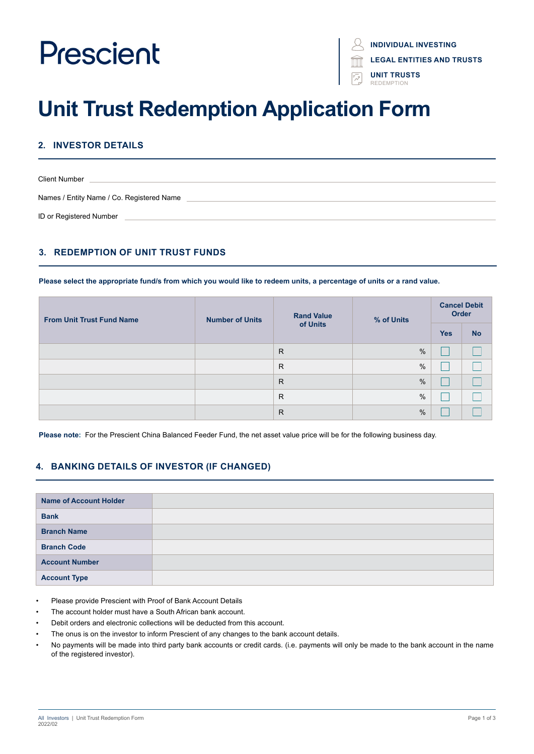**INDIVIDUAL INVESTING**

**LEGAL ENTITIES AND TRUSTS**

**UNIT TRUSTS** REDEMPTION

# **Unit Trust Redemption Application Form**

# **2. INVESTOR DETAILS**

| <b>Client Number</b>                      |
|-------------------------------------------|
| Names / Entity Name / Co. Registered Name |
| ID or Registered Number                   |

# **3. REDEMPTION OF UNIT TRUST FUNDS**

**Please select the appropriate fund/s from which you would like to redeem units, a percentage of units or a rand value.**

| <b>From Unit Trust Fund Name</b> | <b>Number of Units</b> | <b>Rand Value</b><br>of Units | % of Units    | <b>Cancel Debit</b><br>Order |           |
|----------------------------------|------------------------|-------------------------------|---------------|------------------------------|-----------|
|                                  |                        |                               |               | <b>Yes</b>                   | <b>No</b> |
|                                  |                        | $\mathsf{R}$                  | $\frac{0}{0}$ |                              |           |
|                                  |                        | R.                            | $\frac{0}{0}$ |                              |           |
|                                  |                        | R                             | $\frac{0}{0}$ |                              |           |
|                                  |                        | R                             | $\%$          |                              |           |
|                                  |                        | $\mathsf{R}$                  | $\%$          |                              |           |

**Please note:** For the Prescient China Balanced Feeder Fund, the net asset value price will be for the following business day.

### **4. BANKING DETAILS OF INVESTOR (IF CHANGED)**

| <b>Name of Account Holder</b> |  |
|-------------------------------|--|
| <b>Bank</b>                   |  |
| <b>Branch Name</b>            |  |
| <b>Branch Code</b>            |  |
| <b>Account Number</b>         |  |
| <b>Account Type</b>           |  |

- Please provide Prescient with Proof of Bank Account Details
- The account holder must have a South African bank account.
- Debit orders and electronic collections will be deducted from this account.
- The onus is on the investor to inform Prescient of any changes to the bank account details.
- No payments will be made into third party bank accounts or credit cards. (i.e. payments will only be made to the bank account in the name of the registered investor).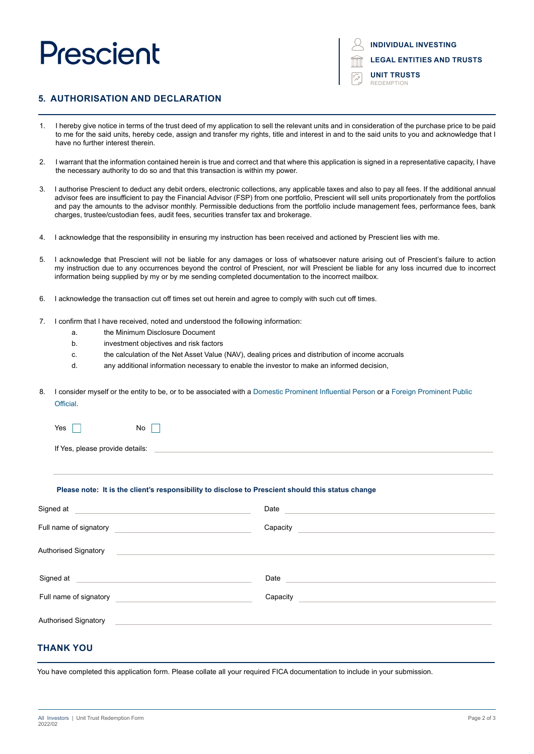**INDIVIDUAL INVESTING**

**LEGAL ENTITIES AND TRUSTS**

**UNIT TRUSTS** REDEMPTION

### **5. AUTHORISATION AND DECLARATION**

- 1. I hereby give notice in terms of the trust deed of my application to sell the relevant units and in consideration of the purchase price to be paid to me for the said units, hereby cede, assign and transfer my rights, title and interest in and to the said units to you and acknowledge that I have no further interest therein.
- 2. I warrant that the information contained herein is true and correct and that where this application is signed in a representative capacity, I have the necessary authority to do so and that this transaction is within my power.
- 3. I authorise Prescient to deduct any debit orders, electronic collections, any applicable taxes and also to pay all fees. If the additional annual advisor fees are insufficient to pay the Financial Advisor (FSP) from one portfolio, Prescient will sell units proportionately from the portfolios and pay the amounts to the advisor monthly. Permissible deductions from the portfolio include management fees, performance fees, bank charges, trustee/custodian fees, audit fees, securities transfer tax and brokerage.
- 4. I acknowledge that the responsibility in ensuring my instruction has been received and actioned by Prescient lies with me.
- 5. I acknowledge that Prescient will not be liable for any damages or loss of whatsoever nature arising out of Prescient's failure to action my instruction due to any occurrences beyond the control of Prescient, nor will Prescient be liable for any loss incurred due to incorrect information being supplied by my or by me sending completed documentation to the incorrect mailbox.
- 6. I acknowledge the transaction cut off times set out herein and agree to comply with such cut off times.
- 7. I confirm that I have received, noted and understood the following information:
	- a. the Minimum Disclosure Document
	- b. investment objectives and risk factors
	- c. the calculation of the Net Asset Value (NAV), dealing prices and distribution of income accruals
	- d. any additional information necessary to enable the investor to make an informed decision,
- 8. I consider myself or the entity to be, or to be associated with a Domestic Prominent Influential Person or a Foreign Prominent Public **Official**

| Yes |  |  | No |  |
|-----|--|--|----|--|
|     |  |  |    |  |

If Yes, please provide details:

#### **Please note: It is the client's responsibility to disclose to Prescient should this status change**

| Signed at                                                                                                                                           | Date     |
|-----------------------------------------------------------------------------------------------------------------------------------------------------|----------|
| Full name of signatory                                                                                                                              | Capacity |
| <b>Authorised Signatory</b><br><u> 1989 - Johann Stein, mars an de Frankrik en de Frankrik en de Frankrik en de Frankrik en de Frankrik en de F</u> |          |
| Signed at                                                                                                                                           | Date     |
| Full name of signatory                                                                                                                              | Capacity |
| <b>Authorised Signatory</b>                                                                                                                         |          |

## **THANK YOU**

You have completed this application form. Please collate all your required FICA documentation to include in your submission.